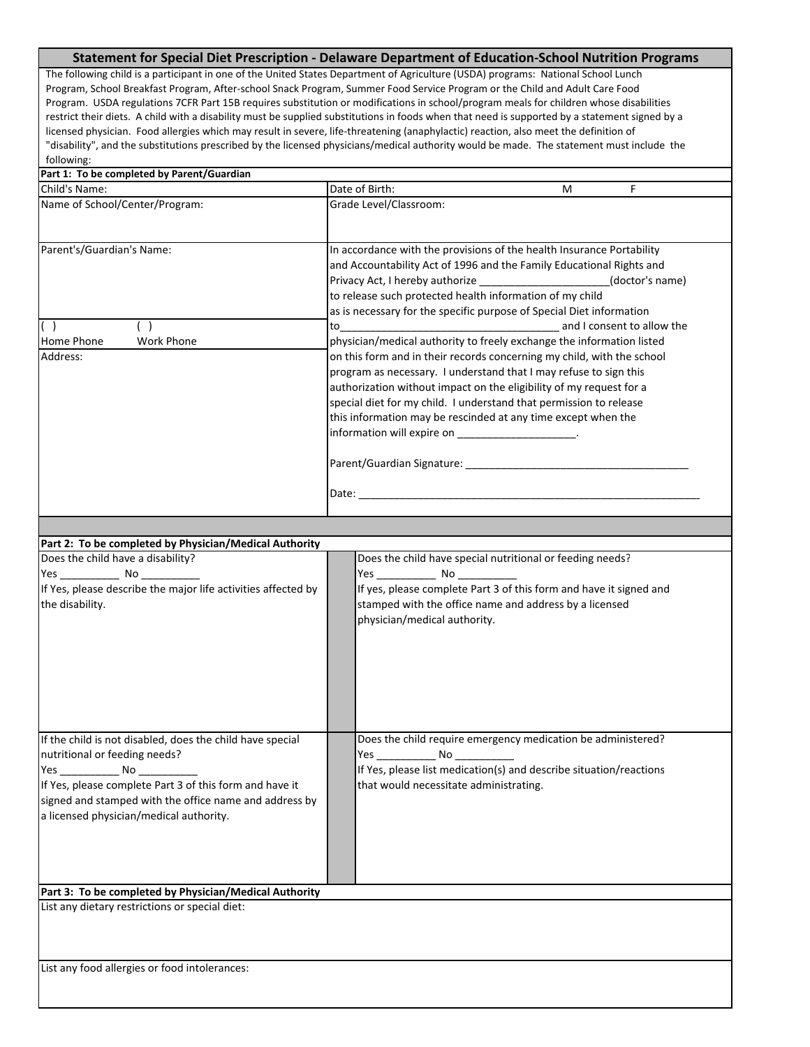## **Statement for Special Diet Prescription ‐ Delaware Department of Education‐School Nutrition Programs**

 The following child is a participant in one of the United States Department of Agriculture (USDA) programs: National School Lunch Program, School Breakfast Program, After‐school Snack Program, Summer Food Service Program or the Child and Adult Care Food Program. USDA regulations 7CFR Part 15B requires substitution or modifications in school/program meals for children whose disabilities restrict their diets. A child with a disability must be supplied substitutions in foods when that need is supported by a statement signed by a licensed physician. Food allergies which may result in severe, life‐threatening (anaphylactic) reaction, also meet the definition of "disability", and the substitutions prescribed by the licensed physicians/medical authority would be made. The statement must include the following:<br> $Part 1: To h$ **Part 1: To be completed by Parent/Guardian**

| Part 1: To be completed by Parent/Guardian                                                               |                                                                                                                                                                                                                                                                                                                                                               |
|----------------------------------------------------------------------------------------------------------|---------------------------------------------------------------------------------------------------------------------------------------------------------------------------------------------------------------------------------------------------------------------------------------------------------------------------------------------------------------|
| Child's Name:                                                                                            | Date of Birth:<br>F<br>M                                                                                                                                                                                                                                                                                                                                      |
| Name of School/Center/Program:                                                                           | Grade Level/Classroom:                                                                                                                                                                                                                                                                                                                                        |
|                                                                                                          |                                                                                                                                                                                                                                                                                                                                                               |
| Parent's/Guardian's Name:                                                                                | In accordance with the provisions of the health Insurance Portability<br>and Accountability Act of 1996 and the Family Educational Rights and<br>Privacy Act, I hereby authorize _________________________(doctor's name)<br>to release such protected health information of my child<br>as is necessary for the specific purpose of Special Diet information |
| ( )<br>( )                                                                                               | to                                                                                                                                                                                                                                                                                                                                                            |
| Home Phone<br>Work Phone                                                                                 | physician/medical authority to freely exchange the information listed                                                                                                                                                                                                                                                                                         |
| Address:                                                                                                 | on this form and in their records concerning my child, with the school                                                                                                                                                                                                                                                                                        |
|                                                                                                          | program as necessary. I understand that I may refuse to sign this                                                                                                                                                                                                                                                                                             |
|                                                                                                          | authorization without impact on the eligibility of my request for a                                                                                                                                                                                                                                                                                           |
|                                                                                                          | special diet for my child. I understand that permission to release                                                                                                                                                                                                                                                                                            |
|                                                                                                          | this information may be rescinded at any time except when the                                                                                                                                                                                                                                                                                                 |
|                                                                                                          | information will expire on _______________________.                                                                                                                                                                                                                                                                                                           |
|                                                                                                          |                                                                                                                                                                                                                                                                                                                                                               |
|                                                                                                          | Parent/Guardian Signature:                                                                                                                                                                                                                                                                                                                                    |
|                                                                                                          |                                                                                                                                                                                                                                                                                                                                                               |
|                                                                                                          |                                                                                                                                                                                                                                                                                                                                                               |
|                                                                                                          |                                                                                                                                                                                                                                                                                                                                                               |
| Part 2: To be completed by Physician/Medical Authority                                                   |                                                                                                                                                                                                                                                                                                                                                               |
| Does the child have a disability?                                                                        | Does the child have special nutritional or feeding needs?                                                                                                                                                                                                                                                                                                     |
|                                                                                                          |                                                                                                                                                                                                                                                                                                                                                               |
| If Yes, please describe the major life activities affected by                                            | If yes, please complete Part 3 of this form and have it signed and                                                                                                                                                                                                                                                                                            |
| the disability.                                                                                          | stamped with the office name and address by a licensed                                                                                                                                                                                                                                                                                                        |
|                                                                                                          | physician/medical authority.                                                                                                                                                                                                                                                                                                                                  |
|                                                                                                          |                                                                                                                                                                                                                                                                                                                                                               |
|                                                                                                          |                                                                                                                                                                                                                                                                                                                                                               |
|                                                                                                          |                                                                                                                                                                                                                                                                                                                                                               |
|                                                                                                          |                                                                                                                                                                                                                                                                                                                                                               |
|                                                                                                          |                                                                                                                                                                                                                                                                                                                                                               |
|                                                                                                          |                                                                                                                                                                                                                                                                                                                                                               |
| If the child is not disabled, does the child have special                                                | Does the child require emergency medication be administered?                                                                                                                                                                                                                                                                                                  |
| nutritional or feeding needs?                                                                            |                                                                                                                                                                                                                                                                                                                                                               |
| Yes ____________________ No                                                                              |                                                                                                                                                                                                                                                                                                                                                               |
| If Yes, please complete Part 3 of this form and have it                                                  | that would necessitate administrating.                                                                                                                                                                                                                                                                                                                        |
| signed and stamped with the office name and address by                                                   |                                                                                                                                                                                                                                                                                                                                                               |
| a licensed physician/medical authority.                                                                  |                                                                                                                                                                                                                                                                                                                                                               |
|                                                                                                          |                                                                                                                                                                                                                                                                                                                                                               |
|                                                                                                          |                                                                                                                                                                                                                                                                                                                                                               |
|                                                                                                          |                                                                                                                                                                                                                                                                                                                                                               |
|                                                                                                          |                                                                                                                                                                                                                                                                                                                                                               |
| Part 3: To be completed by Physician/Medical Authority<br>List any dietary restrictions or special diet: |                                                                                                                                                                                                                                                                                                                                                               |
|                                                                                                          |                                                                                                                                                                                                                                                                                                                                                               |
|                                                                                                          |                                                                                                                                                                                                                                                                                                                                                               |
|                                                                                                          |                                                                                                                                                                                                                                                                                                                                                               |
| List any food allergies or food intolerances:                                                            |                                                                                                                                                                                                                                                                                                                                                               |
|                                                                                                          |                                                                                                                                                                                                                                                                                                                                                               |
|                                                                                                          |                                                                                                                                                                                                                                                                                                                                                               |